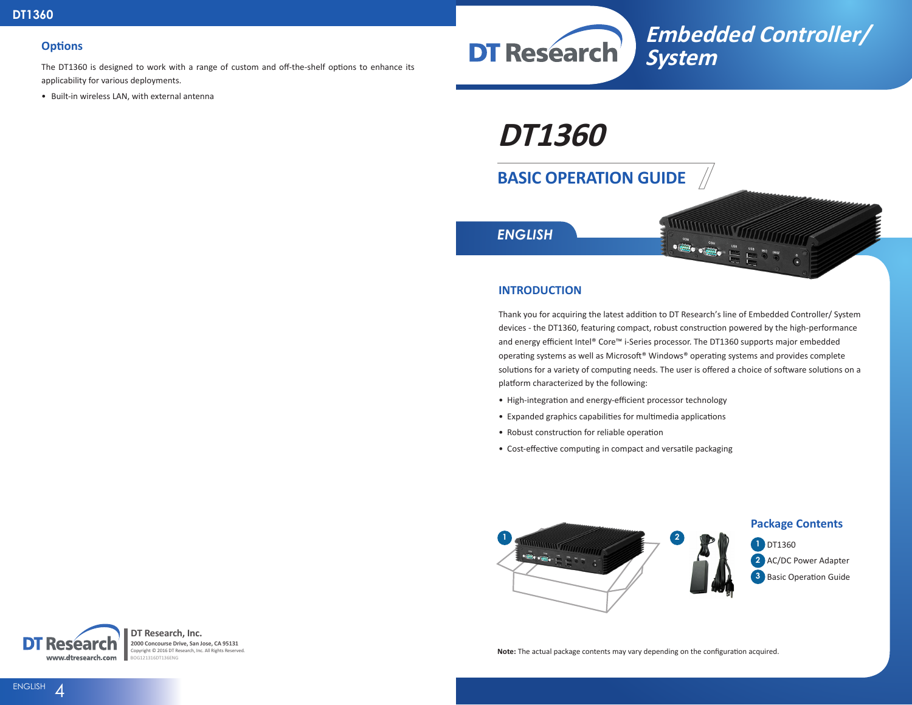#### **Options**

The DT1360 is designed to work with a range of custom and off-the-shelf options to enhance its applicability for various deployments.

• Built-in wireless LAN, with external antenna



**DT1360**

# **BASIC OPERATION GUIDE**



### **INTRODUCTION**

Thank you for acquiring the latest addition to DT Research's line of Embedded Controller/ System devices - the DT1360, featuring compact, robust construction powered by the high-performance and energy efficient Intel® Core™ i-Series processor. The DT1360 supports major embedded operating systems as well as Microsoft® Windows® operating systems and provides complete solutions for a variety of computing needs. The user is offered a choice of software solutions on a platform characterized by the following:

- High-integration and energy-efficient processor technology
- Expanded graphics capabilities for multimedia applications
- Robust construction for reliable operation
- Cost-effective computing in compact and versatile packaging



**DT Research, Inc.** Resear **2000 Concourse Drive, San Jose, CA 95131** Copyright © 2016 DT Research, Inc. All Rights Reserved. www.dtresearch.com ...<br>G121316DT136ENG

**Note:** The actual package contents may vary depending on the configuration acquired.